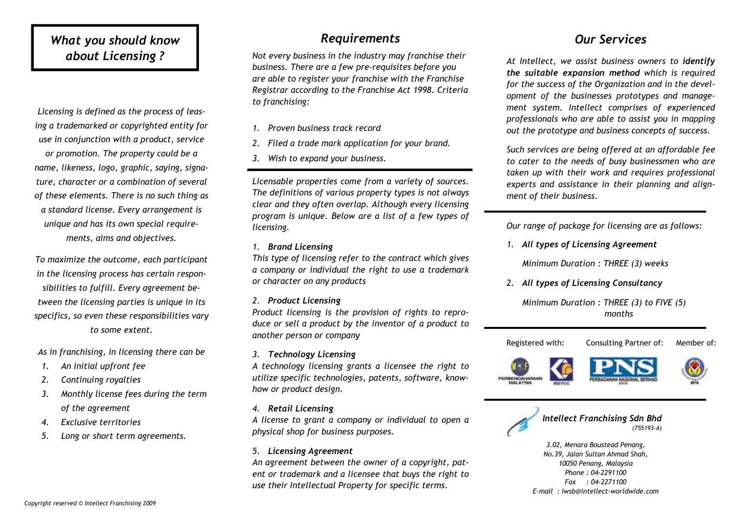#### What you should know about Licensing ?

Licensing is defined as the process of leasing a trademarked or copyrighted entity for use in conjunction with a product, service or promotion. The property could be a name, likeness, logo, graphic, saying, signature, character or a combination of several of these elements. There is no such thing as a standard license. Every arrangement is unique and has its own special requirements, aims and objectives.

To maximize the outcome, each participant in the licensing process has certain responsibilities to fulfill. Every agreement between the licensing parties is unique in its specifics, so even these responsibilities vary to some extent.

As in franchising, in licensing there can be

- 1. An initial upfront fee
- 2. Continuing royalties
- 3. Monthly license fees during the term of the agreement
- 4. Exclusive territories
- 5. Long or short term agreements.

#### Requirements

Not every business in the industry may franchise their business. There are a few pre-requisites before you are able to register your franchise with the Franchise Registrar according to the Franchise Act 1998. Criteria to franchising:

- 1. Proven business track record
- 2. Filed a trade mark application for your brand.
- 3. Wish to expand your business.

Licensable properties come from a variety of sources. The definitions of various property types is not always clear and they often overlap. Although every licensing program is unique. Below are a list of a few types of licensing.

1. Brand Licensing

This type of licensing refer to the contract which gives a company or individual the right to use a trademark or character on any products

2. Product Licensing

 Product licensing is the provision of rights to reproduce or sell a product by the inventor of a product to another person or company

3. Technology Licensing

 A technology licensing grants a licensee the right to utilize specific technologies, patents, software, knowhow or product design.

4. Retail Licensing

 A license to grant a company or individual to open a physical shop for business purposes.

5. Licensing Agreement

An agreement between the owner of a copyright, patent or trademark and a licensee that buys the right to use their Intellectual Property for specific terms.

#### Our Services

At Intellect, we assist business owners to identify the suitable expansion method which is required for the success of the Organization and in the development of the businesses prototypes and management system. Intellect comprises of experienced professionals who are able to assist you in mappingout the prototype and business concepts of success.

Such services are being offered at an affordable fee to cater to the needs of busy businessmen who are taken up with their work and requires professional experts and assistance in their planning and alignment of their business.

Our range of package for licensing are as follows:

1. All types of Licensing Agreement

Minimum Duration : THREE (3) weeks

2. All types of Licensing Consultancy

Minimum Duration : THREE (3) to FIVE (5) months

Registered with: Consulting Partner of: Member of:











Intellect Franchising Sdn Bhd (755193-A)

3.02, Menara Boustead Penang, No.39, Jalan Sultan Ahmad Shah, 10050 Penang, Malaysia Phone : 04-2291100 Fax : 04-2271100 E-mail : iwsb@intellect-worldwide.com